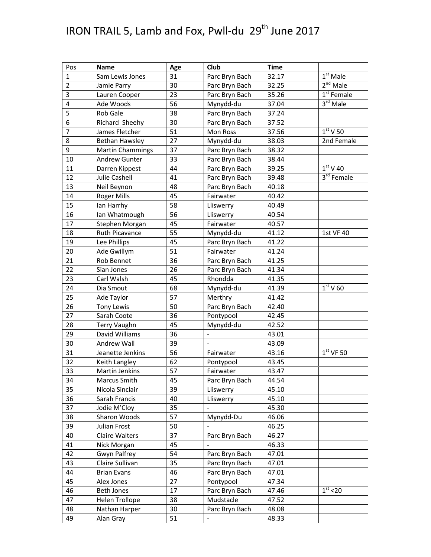## IRON TRAIL 5, Lamb and Fox, Pwll-du  $29<sup>th</sup>$  June 2017

| Pos            | <b>Name</b>             | Age | Club           | <b>Time</b> |                                   |
|----------------|-------------------------|-----|----------------|-------------|-----------------------------------|
| $\mathbf 1$    | Sam Lewis Jones         | 31  | Parc Bryn Bach | 32.17       | $1st$ Male                        |
| $\overline{2}$ | Jamie Parry             | 30  | Parc Bryn Bach | 32.25       | $2nd$ Male                        |
| 3              | Lauren Cooper           | 23  | Parc Bryn Bach | 35.26       | $\overline{1}^{\text{st}}$ Female |
| $\pmb{4}$      | Ade Woods               | 56  | Mynydd-du      | 37.04       | 3 <sup>rd</sup> Male              |
| 5              | Rob Gale                | 38  | Parc Bryn Bach | 37.24       |                                   |
| 6              | Richard Sheehy          | 30  | Parc Bryn Bach | 37.52       |                                   |
| $\overline{7}$ | James Fletcher          | 51  | Mon Ross       | 37.56       | $1st$ V 50                        |
| 8              | Bethan Hawsley          | 27  | Mynydd-du      | 38.03       | 2nd Female                        |
| 9              | <b>Martin Chammings</b> | 37  | Parc Bryn Bach | 38.32       |                                   |
| 10             | <b>Andrew Gunter</b>    | 33  | Parc Bryn Bach | 38.44       |                                   |
| 11             | Darren Kippest          | 44  | Parc Bryn Bach | 39.25       | $\overline{1}^{\rm st}$ V 40      |
| 12             | Julie Cashell           | 41  | Parc Bryn Bach | 39.48       | $3rd$ Female                      |
| 13             | Neil Beynon             | 48  | Parc Bryn Bach | 40.18       |                                   |
| 14             | Roger Mills             | 45  | Fairwater      | 40.42       |                                   |
| 15             | lan Harrhy              | 58  | Lliswerry      | 40.49       |                                   |
| 16             | Ian Whatmough           | 56  | Lliswerry      | 40.54       |                                   |
| 17             | Stephen Morgan          | 45  | Fairwater      | 40.57       |                                   |
| 18             | Ruth Picavance          | 55  | Mynydd-du      | 41.12       | 1st VF 40                         |
| 19             | Lee Phillips            | 45  | Parc Bryn Bach | 41.22       |                                   |
| 20             | Ade Gwillym             | 51  | Fairwater      | 41.24       |                                   |
| 21             | Rob Bennet              | 36  | Parc Bryn Bach | 41.25       |                                   |
| 22             | Sian Jones              | 26  | Parc Bryn Bach | 41.34       |                                   |
| 23             | Carl Walsh              | 45  | Rhondda        | 41.35       |                                   |
| 24             | Dia Smout               | 68  | Mynydd-du      | 41.39       | $\overline{1^{\text{st}}}$ V 60   |
| 25             | Ade Taylor              | 57  | Merthry        | 41.42       |                                   |
| 26             | Tony Lewis              | 50  | Parc Bryn Bach | 42.40       |                                   |
| 27             | Sarah Coote             | 36  | Pontypool      | 42.45       |                                   |
| 28             | <b>Terry Vaughn</b>     | 45  | Mynydd-du      | 42.52       |                                   |
| 29             | David Williams          | 36  |                | 43.01       |                                   |
| 30             | Andrew Wall             | 39  |                | 43.09       |                                   |
| 31             | Jeanette Jenkins        | 56  | Fairwater      | 43.16       | $1st$ VF 50                       |
| 32             | Keith Langley           | 62  | Pontypool      | 43.45       |                                   |
| 33             | <b>Martin Jenkins</b>   | 57  | Fairwater      | 43.47       |                                   |
| 34             | Marcus Smith            | 45  | Parc Bryn Bach | 44.54       |                                   |
| 35             | Nicola Sinclair         | 39  | Lliswerry      | 45.10       |                                   |
| 36             | Sarah Francis           | 40  | Lliswerry      | 45.10       |                                   |
| 37             | Jodie M'Cloy            | 35  |                | 45.30       |                                   |
| 38             | Sharon Woods            | 57  | Mynydd-Du      | 46.06       |                                   |
| 39             | Julian Frost            | 50  |                | 46.25       |                                   |
| 40             | Claire Walters          | 37  | Parc Bryn Bach | 46.27       |                                   |
| 41             | Nick Morgan             | 45  |                | 46.33       |                                   |
| 42             | Gwyn Palfrey            | 54  | Parc Bryn Bach | 47.01       |                                   |
| 43             | Claire Sullivan         | 35  | Parc Bryn Bach | 47.01       |                                   |
| 44             | <b>Brian Evans</b>      | 46  | Parc Bryn Bach | 47.01       |                                   |
| 45             | Alex Jones              | 27  | Pontypool      | 47.34       |                                   |
| 46             | Beth Jones              | 17  | Parc Bryn Bach | 47.46       | 1 <sup>st</sup> < 20              |
| 47             | Helen Trollope          | 38  | Mudstacle      | 47.52       |                                   |
| 48             | Nathan Harper           | 30  | Parc Bryn Bach | 48.08       |                                   |
| 49             | Alan Gray               | 51  |                | 48.33       |                                   |